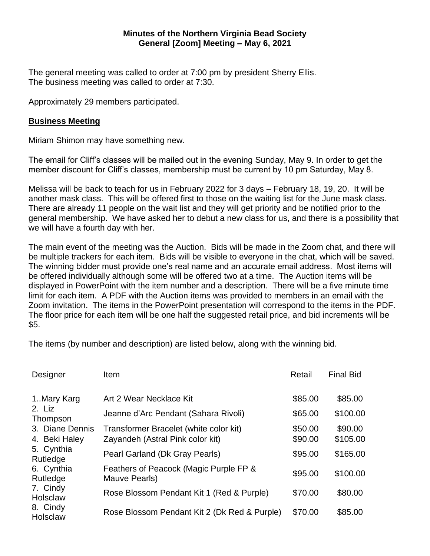## **Minutes of the Northern Virginia Bead Society General [Zoom] Meeting – May 6, 2021**

The general meeting was called to order at 7:00 pm by president Sherry Ellis. The business meeting was called to order at 7:30.

Approximately 29 members participated.

## **Business Meeting**

Miriam Shimon may have something new.

The email for Cliff's classes will be mailed out in the evening Sunday, May 9. In order to get the member discount for Cliff's classes, membership must be current by 10 pm Saturday, May 8.

Melissa will be back to teach for us in February 2022 for 3 days – February 18, 19, 20. It will be another mask class. This will be offered first to those on the waiting list for the June mask class. There are already 11 people on the wait list and they will get priority and be notified prior to the general membership. We have asked her to debut a new class for us, and there is a possibility that we will have a fourth day with her.

The main event of the meeting was the Auction. Bids will be made in the Zoom chat, and there will be multiple trackers for each item. Bids will be visible to everyone in the chat, which will be saved. The winning bidder must provide one's real name and an accurate email address. Most items will be offered individually although some will be offered two at a time. The Auction items will be displayed in PowerPoint with the item number and a description. There will be a five minute time limit for each item. A PDF with the Auction items was provided to members in an email with the Zoom invitation. The items in the PowerPoint presentation will correspond to the items in the PDF. The floor price for each item will be one half the suggested retail price, and bid increments will be \$5.

The items (by number and description) are listed below, along with the winning bid.

| Designer                                                                                         | Item                                                                       | Retail             | <b>Final Bid</b>    |
|--------------------------------------------------------------------------------------------------|----------------------------------------------------------------------------|--------------------|---------------------|
| 1. Mary Karg<br>2. Liz<br>Thompson                                                               | Art 2 Wear Necklace Kit                                                    | \$85.00            | \$85.00             |
|                                                                                                  | Jeanne d'Arc Pendant (Sahara Rivoli)                                       | \$65.00            | \$100.00            |
| 3. Diane Dennis<br>4. Beki Haley                                                                 | Transformer Bracelet (white color kit)<br>Zayandeh (Astral Pink color kit) | \$50.00<br>\$90.00 | \$90.00<br>\$105.00 |
| 5. Cynthia<br>Rutledge<br>6. Cynthia<br>Rutledge<br>7. Cindy<br>Holsclaw<br>8. Cindy<br>Holsclaw | Pearl Garland (Dk Gray Pearls)                                             | \$95.00            | \$165.00            |
|                                                                                                  | Feathers of Peacock (Magic Purple FP &<br>Mauve Pearls)                    | \$95.00            | \$100.00            |
|                                                                                                  | Rose Blossom Pendant Kit 1 (Red & Purple)                                  | \$70.00            | \$80.00             |
|                                                                                                  | Rose Blossom Pendant Kit 2 (Dk Red & Purple)                               | \$70.00            | \$85.00             |